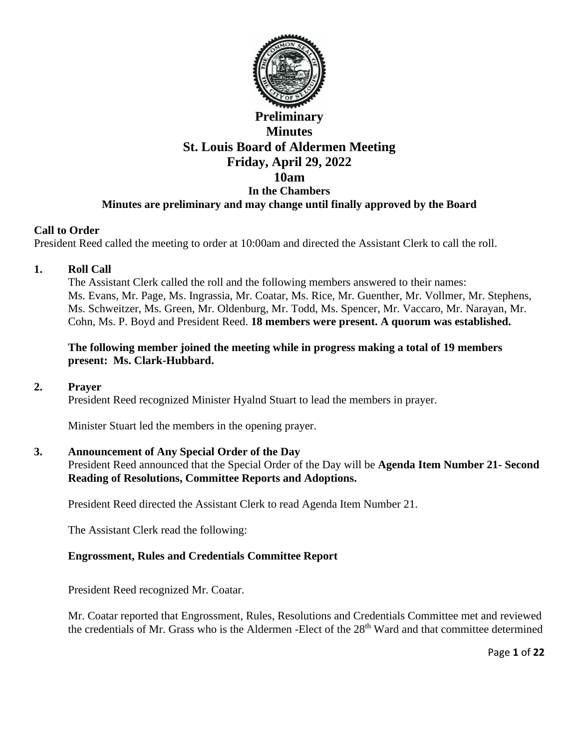

# **Preliminary Minutes St. Louis Board of Aldermen Meeting Friday, April 29, 2022 10am In the Chambers Minutes are preliminary and may change until finally approved by the Board**

### **Call to Order**

President Reed called the meeting to order at 10:00am and directed the Assistant Clerk to call the roll.

### **1. Roll Call**

The Assistant Clerk called the roll and the following members answered to their names: Ms. Evans, Mr. Page, Ms. Ingrassia, Mr. Coatar, Ms. Rice, Mr. Guenther, Mr. Vollmer, Mr. Stephens, Ms. Schweitzer, Ms. Green, Mr. Oldenburg, Mr. Todd, Ms. Spencer, Mr. Vaccaro, Mr. Narayan, Mr. Cohn, Ms. P. Boyd and President Reed. **18 members were present. A quorum was established.** 

#### **The following member joined the meeting while in progress making a total of 19 members present: Ms. Clark-Hubbard.**

#### **2. Prayer**

President Reed recognized Minister Hyalnd Stuart to lead the members in prayer.

Minister Stuart led the members in the opening prayer.

# **3. Announcement of Any Special Order of the Day**

President Reed announced that the Special Order of the Day will be **Agenda Item Number 21- Second Reading of Resolutions, Committee Reports and Adoptions.** 

President Reed directed the Assistant Clerk to read Agenda Item Number 21.

The Assistant Clerk read the following:

# **Engrossment, Rules and Credentials Committee Report**

President Reed recognized Mr. Coatar.

Mr. Coatar reported that Engrossment, Rules, Resolutions and Credentials Committee met and reviewed the credentials of Mr. Grass who is the Aldermen -Elect of the 28<sup>th</sup> Ward and that committee determined

Page **1** of **22**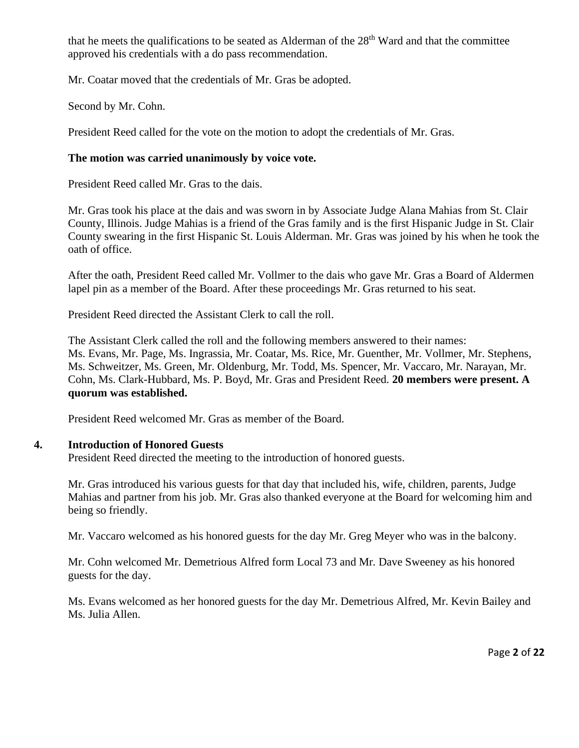that he meets the qualifications to be seated as Alderman of the  $28<sup>th</sup>$  Ward and that the committee approved his credentials with a do pass recommendation.

Mr. Coatar moved that the credentials of Mr. Gras be adopted.

Second by Mr. Cohn.

President Reed called for the vote on the motion to adopt the credentials of Mr. Gras.

# **The motion was carried unanimously by voice vote.**

President Reed called Mr. Gras to the dais.

Mr. Gras took his place at the dais and was sworn in by Associate Judge Alana Mahias from St. Clair County, Illinois. Judge Mahias is a friend of the Gras family and is the first Hispanic Judge in St. Clair County swearing in the first Hispanic St. Louis Alderman. Mr. Gras was joined by his when he took the oath of office.

After the oath, President Reed called Mr. Vollmer to the dais who gave Mr. Gras a Board of Aldermen lapel pin as a member of the Board. After these proceedings Mr. Gras returned to his seat.

President Reed directed the Assistant Clerk to call the roll.

The Assistant Clerk called the roll and the following members answered to their names: Ms. Evans, Mr. Page, Ms. Ingrassia, Mr. Coatar, Ms. Rice, Mr. Guenther, Mr. Vollmer, Mr. Stephens, Ms. Schweitzer, Ms. Green, Mr. Oldenburg, Mr. Todd, Ms. Spencer, Mr. Vaccaro, Mr. Narayan, Mr. Cohn, Ms. Clark-Hubbard, Ms. P. Boyd, Mr. Gras and President Reed. **20 members were present. A quorum was established.** 

President Reed welcomed Mr. Gras as member of the Board.

# **4. Introduction of Honored Guests**

President Reed directed the meeting to the introduction of honored guests.

Mr. Gras introduced his various guests for that day that included his, wife, children, parents, Judge Mahias and partner from his job. Mr. Gras also thanked everyone at the Board for welcoming him and being so friendly.

Mr. Vaccaro welcomed as his honored guests for the day Mr. Greg Meyer who was in the balcony.

Mr. Cohn welcomed Mr. Demetrious Alfred form Local 73 and Mr. Dave Sweeney as his honored guests for the day.

Ms. Evans welcomed as her honored guests for the day Mr. Demetrious Alfred, Mr. Kevin Bailey and Ms. Julia Allen.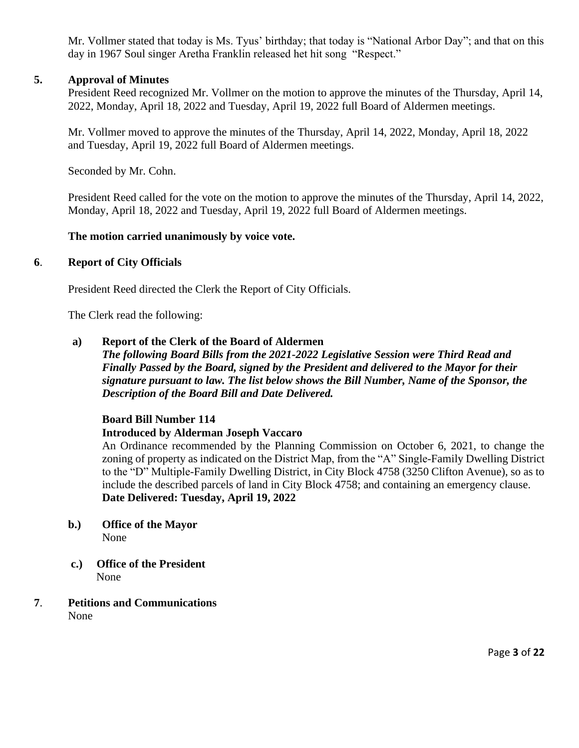Mr. Vollmer stated that today is Ms. Tyus' birthday; that today is "National Arbor Day"; and that on this day in 1967 Soul singer Aretha Franklin released het hit song "Respect."

### **5. Approval of Minutes**

President Reed recognized Mr. Vollmer on the motion to approve the minutes of the Thursday, April 14, 2022, Monday, April 18, 2022 and Tuesday, April 19, 2022 full Board of Aldermen meetings.

Mr. Vollmer moved to approve the minutes of the Thursday, April 14, 2022, Monday, April 18, 2022 and Tuesday, April 19, 2022 full Board of Aldermen meetings.

Seconded by Mr. Cohn.

President Reed called for the vote on the motion to approve the minutes of the Thursday, April 14, 2022, Monday, April 18, 2022 and Tuesday, April 19, 2022 full Board of Aldermen meetings.

### **The motion carried unanimously by voice vote.**

### **6**. **Report of City Officials**

President Reed directed the Clerk the Report of City Officials.

The Clerk read the following:

### **a) Report of the Clerk of the Board of Aldermen**

*The following Board Bills from the 2021-2022 Legislative Session were Third Read and Finally Passed by the Board, signed by the President and delivered to the Mayor for their signature pursuant to law. The list below shows the Bill Number, Name of the Sponsor, the Description of the Board Bill and Date Delivered.* 

# **Board Bill Number 114**

#### **Introduced by Alderman Joseph Vaccaro**

An Ordinance recommended by the Planning Commission on October 6, 2021, to change the zoning of property as indicated on the District Map, from the "A" Single-Family Dwelling District to the "D" Multiple-Family Dwelling District, in City Block 4758 (3250 Clifton Avenue), so as to include the described parcels of land in City Block 4758; and containing an emergency clause. **Date Delivered: Tuesday, April 19, 2022** 

- **b.) Office of the Mayor**  None
- **c.) Office of the President** None
- **7**. **Petitions and Communications** None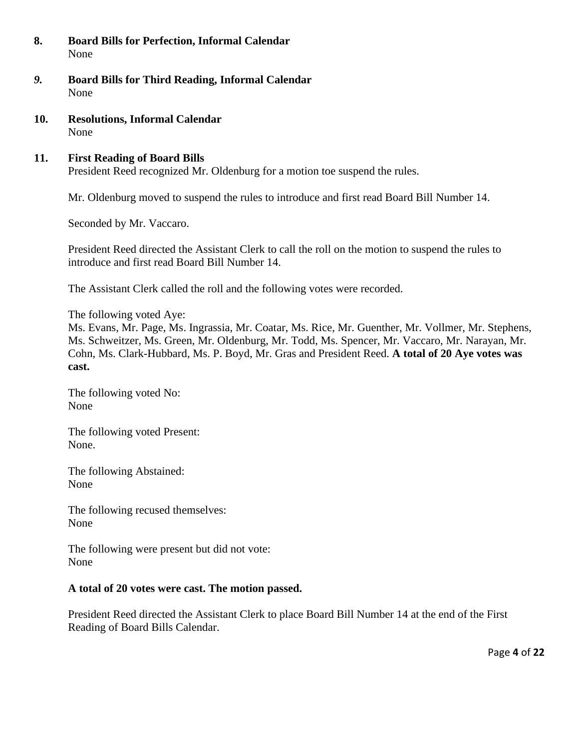- **8. Board Bills for Perfection, Informal Calendar**  None
- *9.* **Board Bills for Third Reading, Informal Calendar** None
- **10. Resolutions, Informal Calendar** None

# **11. First Reading of Board Bills**

President Reed recognized Mr. Oldenburg for a motion toe suspend the rules.

Mr. Oldenburg moved to suspend the rules to introduce and first read Board Bill Number 14.

Seconded by Mr. Vaccaro.

President Reed directed the Assistant Clerk to call the roll on the motion to suspend the rules to introduce and first read Board Bill Number 14.

The Assistant Clerk called the roll and the following votes were recorded.

The following voted Aye:

Ms. Evans, Mr. Page, Ms. Ingrassia, Mr. Coatar, Ms. Rice, Mr. Guenther, Mr. Vollmer, Mr. Stephens, Ms. Schweitzer, Ms. Green, Mr. Oldenburg, Mr. Todd, Ms. Spencer, Mr. Vaccaro, Mr. Narayan, Mr. Cohn, Ms. Clark-Hubbard, Ms. P. Boyd, Mr. Gras and President Reed. **A total of 20 Aye votes was cast.** 

The following voted No: None

The following voted Present: None.

The following Abstained: None

The following recused themselves: None

The following were present but did not vote: None

# **A total of 20 votes were cast. The motion passed.**

President Reed directed the Assistant Clerk to place Board Bill Number 14 at the end of the First Reading of Board Bills Calendar.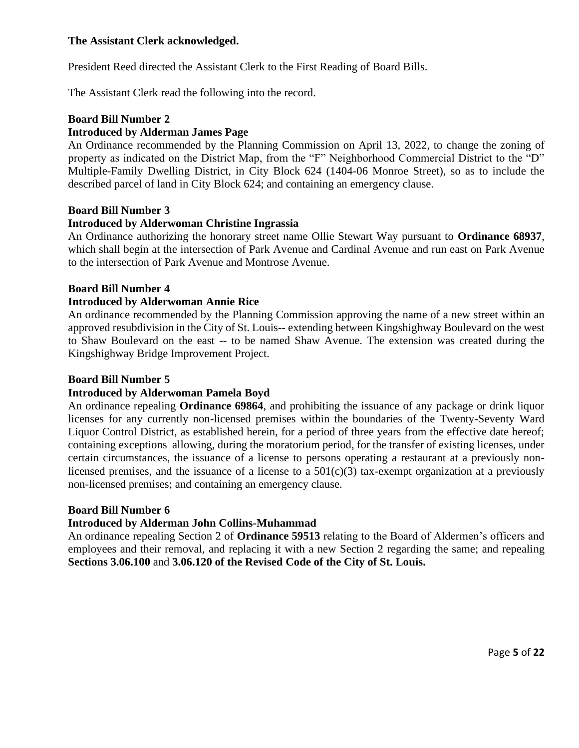### **The Assistant Clerk acknowledged.**

President Reed directed the Assistant Clerk to the First Reading of Board Bills.

The Assistant Clerk read the following into the record.

#### **Board Bill Number 2**

# **Introduced by Alderman James Page**

An Ordinance recommended by the Planning Commission on April 13, 2022, to change the zoning of property as indicated on the District Map, from the "F" Neighborhood Commercial District to the "D" Multiple-Family Dwelling District, in City Block 624 (1404-06 Monroe Street), so as to include the described parcel of land in City Block 624; and containing an emergency clause.

#### **Board Bill Number 3**

#### **Introduced by Alderwoman Christine Ingrassia**

An Ordinance authorizing the honorary street name Ollie Stewart Way pursuant to **Ordinance 68937**, which shall begin at the intersection of Park Avenue and Cardinal Avenue and run east on Park Avenue to the intersection of Park Avenue and Montrose Avenue.

#### **Board Bill Number 4**

#### **Introduced by Alderwoman Annie Rice**

An ordinance recommended by the Planning Commission approving the name of a new street within an approved resubdivision in the City of St. Louis-- extending between Kingshighway Boulevard on the west to Shaw Boulevard on the east -- to be named Shaw Avenue. The extension was created during the Kingshighway Bridge Improvement Project.

#### **Board Bill Number 5**

#### **Introduced by Alderwoman Pamela Boyd**

An ordinance repealing **Ordinance 69864**, and prohibiting the issuance of any package or drink liquor licenses for any currently non-licensed premises within the boundaries of the Twenty-Seventy Ward Liquor Control District, as established herein, for a period of three years from the effective date hereof; containing exceptions allowing, during the moratorium period, for the transfer of existing licenses, under certain circumstances, the issuance of a license to persons operating a restaurant at a previously nonlicensed premises, and the issuance of a license to a  $501(c)(3)$  tax-exempt organization at a previously non-licensed premises; and containing an emergency clause.

#### **Board Bill Number 6**

#### **Introduced by Alderman John Collins-Muhammad**

An ordinance repealing Section 2 of **Ordinance 59513** relating to the Board of Aldermen's officers and employees and their removal, and replacing it with a new Section 2 regarding the same; and repealing **Sections 3.06.100** and **3.06.120 of the Revised Code of the City of St. Louis.**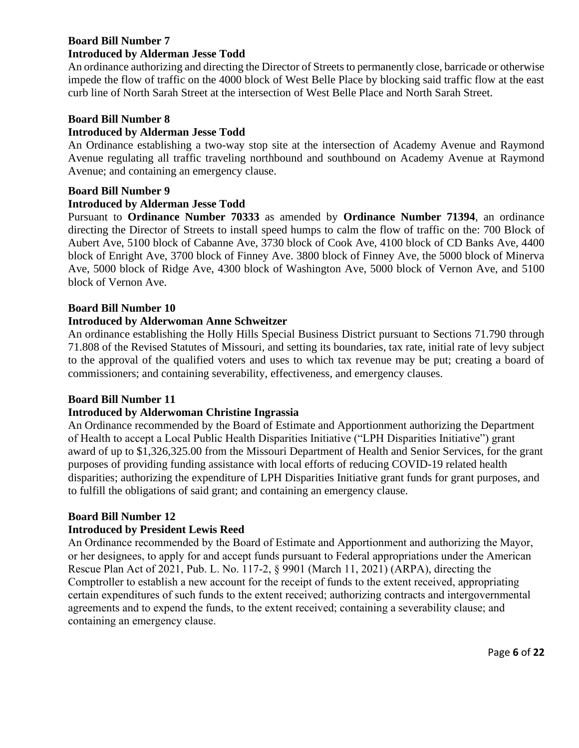#### **Board Bill Number 7 Introduced by Alderman Jesse Todd**

An ordinance authorizing and directing the Director of Streets to permanently close, barricade or otherwise impede the flow of traffic on the 4000 block of West Belle Place by blocking said traffic flow at the east curb line of North Sarah Street at the intersection of West Belle Place and North Sarah Street.

### **Board Bill Number 8**

### **Introduced by Alderman Jesse Todd**

An Ordinance establishing a two-way stop site at the intersection of Academy Avenue and Raymond Avenue regulating all traffic traveling northbound and southbound on Academy Avenue at Raymond Avenue; and containing an emergency clause.

### **Board Bill Number 9**

### **Introduced by Alderman Jesse Todd**

Pursuant to **Ordinance Number 70333** as amended by **Ordinance Number 71394**, an ordinance directing the Director of Streets to install speed humps to calm the flow of traffic on the: 700 Block of Aubert Ave, 5100 block of Cabanne Ave, 3730 block of Cook Ave, 4100 block of CD Banks Ave, 4400 block of Enright Ave, 3700 block of Finney Ave. 3800 block of Finney Ave, the 5000 block of Minerva Ave, 5000 block of Ridge Ave, 4300 block of Washington Ave, 5000 block of Vernon Ave, and 5100 block of Vernon Ave.

### **Board Bill Number 10**

### **Introduced by Alderwoman Anne Schweitzer**

An ordinance establishing the Holly Hills Special Business District pursuant to Sections 71.790 through 71.808 of the Revised Statutes of Missouri, and setting its boundaries, tax rate, initial rate of levy subject to the approval of the qualified voters and uses to which tax revenue may be put; creating a board of commissioners; and containing severability, effectiveness, and emergency clauses.

#### **Board Bill Number 11**

# **Introduced by Alderwoman Christine Ingrassia**

An Ordinance recommended by the Board of Estimate and Apportionment authorizing the Department of Health to accept a Local Public Health Disparities Initiative ("LPH Disparities Initiative") grant award of up to \$1,326,325.00 from the Missouri Department of Health and Senior Services, for the grant purposes of providing funding assistance with local efforts of reducing COVID-19 related health disparities; authorizing the expenditure of LPH Disparities Initiative grant funds for grant purposes, and to fulfill the obligations of said grant; and containing an emergency clause.

# **Board Bill Number 12**

# **Introduced by President Lewis Reed**

An Ordinance recommended by the Board of Estimate and Apportionment and authorizing the Mayor, or her designees, to apply for and accept funds pursuant to Federal appropriations under the American Rescue Plan Act of 2021, Pub. L. No. 117-2, § 9901 (March 11, 2021) (ARPA), directing the Comptroller to establish a new account for the receipt of funds to the extent received, appropriating certain expenditures of such funds to the extent received; authorizing contracts and intergovernmental agreements and to expend the funds, to the extent received; containing a severability clause; and containing an emergency clause.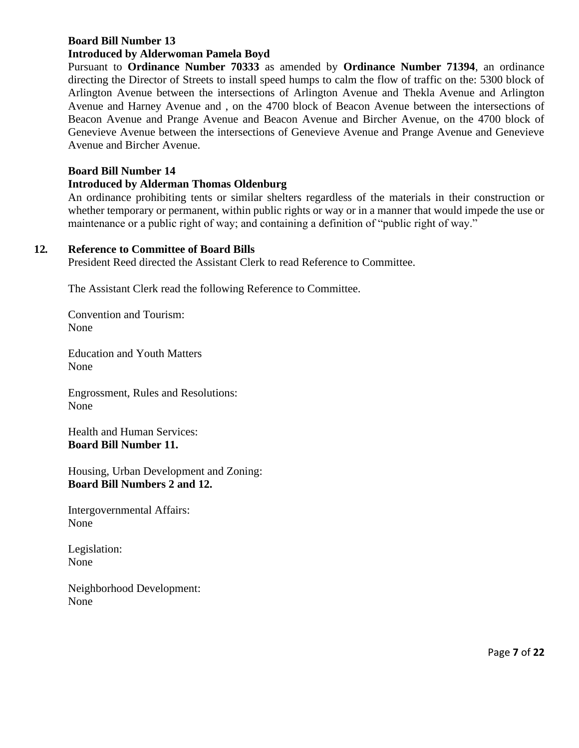# **Board Bill Number 13**

### **Introduced by Alderwoman Pamela Boyd**

Pursuant to **Ordinance Number 70333** as amended by **Ordinance Number 71394**, an ordinance directing the Director of Streets to install speed humps to calm the flow of traffic on the: 5300 block of Arlington Avenue between the intersections of Arlington Avenue and Thekla Avenue and Arlington Avenue and Harney Avenue and , on the 4700 block of Beacon Avenue between the intersections of Beacon Avenue and Prange Avenue and Beacon Avenue and Bircher Avenue, on the 4700 block of Genevieve Avenue between the intersections of Genevieve Avenue and Prange Avenue and Genevieve Avenue and Bircher Avenue.

### **Board Bill Number 14**

### **Introduced by Alderman Thomas Oldenburg**

An ordinance prohibiting tents or similar shelters regardless of the materials in their construction or whether temporary or permanent, within public rights or way or in a manner that would impede the use or maintenance or a public right of way; and containing a definition of "public right of way."

#### **12***.* **Reference to Committee of Board Bills**

President Reed directed the Assistant Clerk to read Reference to Committee.

The Assistant Clerk read the following Reference to Committee.

Convention and Tourism: None

Education and Youth Matters None

Engrossment, Rules and Resolutions: None

Health and Human Services: **Board Bill Number 11.** 

Housing, Urban Development and Zoning: **Board Bill Numbers 2 and 12.** 

Intergovernmental Affairs: None

Legislation: None

Neighborhood Development: None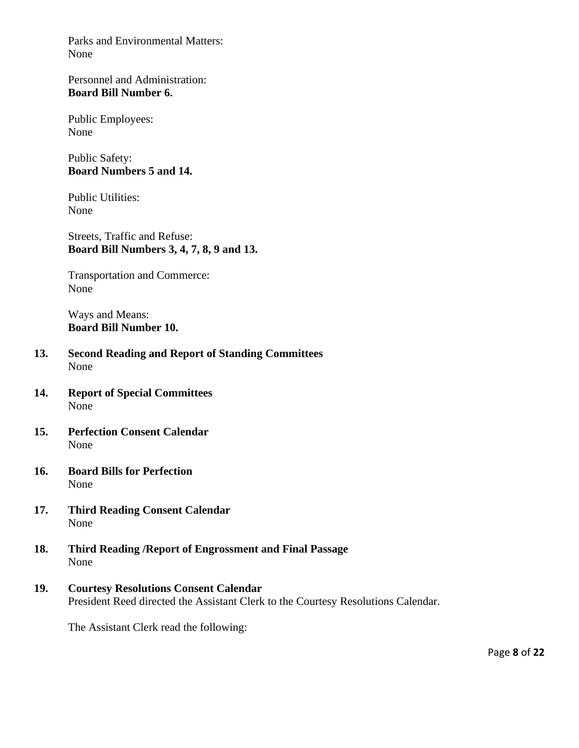Parks and Environmental Matters: None

Personnel and Administration: **Board Bill Number 6.**

Public Employees: None

Public Safety: **Board Numbers 5 and 14.** 

Public Utilities: None

Streets, Traffic and Refuse: **Board Bill Numbers 3, 4, 7, 8, 9 and 13.** 

Transportation and Commerce: None

Ways and Means: **Board Bill Number 10.** 

- **13. Second Reading and Report of Standing Committees** None
- **14. Report of Special Committees** None
- **15. Perfection Consent Calendar**  None
- **16. Board Bills for Perfection** None
- **17. Third Reading Consent Calendar** None
- **18. Third Reading /Report of Engrossment and Final Passage** None
- **19. Courtesy Resolutions Consent Calendar**  President Reed directed the Assistant Clerk to the Courtesy Resolutions Calendar.

The Assistant Clerk read the following: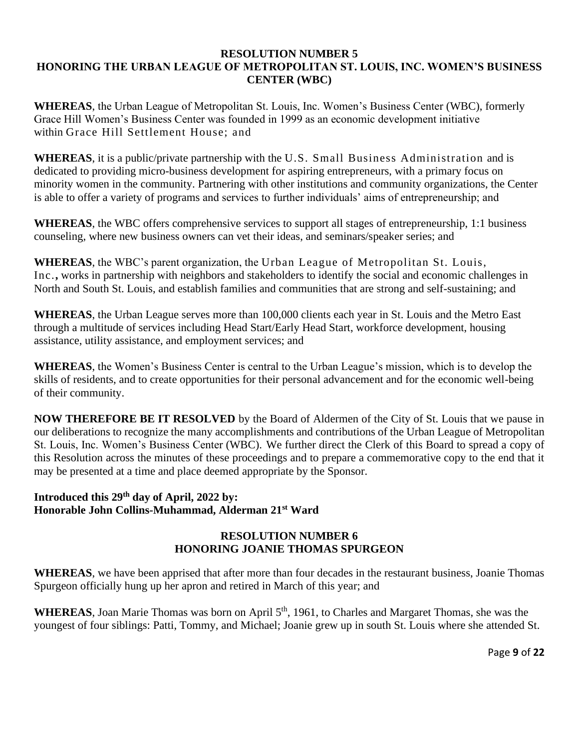#### **RESOLUTION NUMBER 5 HONORING THE URBAN LEAGUE OF METROPOLITAN ST. LOUIS, INC. WOMEN'S BUSINESS CENTER (WBC)**

**WHEREAS**, the Urban League of Metropolitan St. Louis, Inc. Women's Business Center (WBC), formerly Grace Hill Women's Business Center was founded in 1999 as an economic development initiative within Grace Hill Settlement House; and

**WHEREAS**, it is a public/private partnership with the U.S. Small Business Administration and is dedicated to providing micro-business development for aspiring entrepreneurs, with a primary focus on minority women in the community. Partnering with other institutions and community organizations, the Center is able to offer a variety of programs and services to further individuals' aims of entrepreneurship; and

**WHEREAS**, the WBC offers comprehensive services to support all stages of entrepreneurship, 1:1 business counseling, where new business owners can vet their ideas, and seminars/speaker series; and

**WHEREAS**, the WBC's parent organization, the Urban League of Metropolitan St. Louis, Inc.**,** works in partnership with neighbors and stakeholders to identify the social and economic challenges in North and South St. Louis, and establish families and communities that are strong and self-sustaining; and

**WHEREAS**, the Urban League serves more than 100,000 clients each year in St. Louis and the Metro East through a multitude of services including Head Start/Early Head Start, workforce development, housing assistance, utility assistance, and employment services; and

**WHEREAS**, the Women's Business Center is central to the Urban League's mission, which is to develop the skills of residents, and to create opportunities for their personal advancement and for the economic well-being of their community.

**NOW THEREFORE BE IT RESOLVED** by the Board of Aldermen of the City of St. Louis that we pause in our deliberations to recognize the many accomplishments and contributions of the Urban League of Metropolitan St. Louis, Inc. Women's Business Center (WBC). We further direct the Clerk of this Board to spread a copy of this Resolution across the minutes of these proceedings and to prepare a commemorative copy to the end that it may be presented at a time and place deemed appropriate by the Sponsor.

#### **Introduced this 29th day of April, 2022 by: Honorable John Collins-Muhammad, Alderman 21st Ward**

# **RESOLUTION NUMBER 6 HONORING JOANIE THOMAS SPURGEON**

**WHEREAS**, we have been apprised that after more than four decades in the restaurant business, Joanie Thomas Spurgeon officially hung up her apron and retired in March of this year; and

WHEREAS, Joan Marie Thomas was born on April 5<sup>th</sup>, 1961, to Charles and Margaret Thomas, she was the youngest of four siblings: Patti, Tommy, and Michael; Joanie grew up in south St. Louis where she attended St.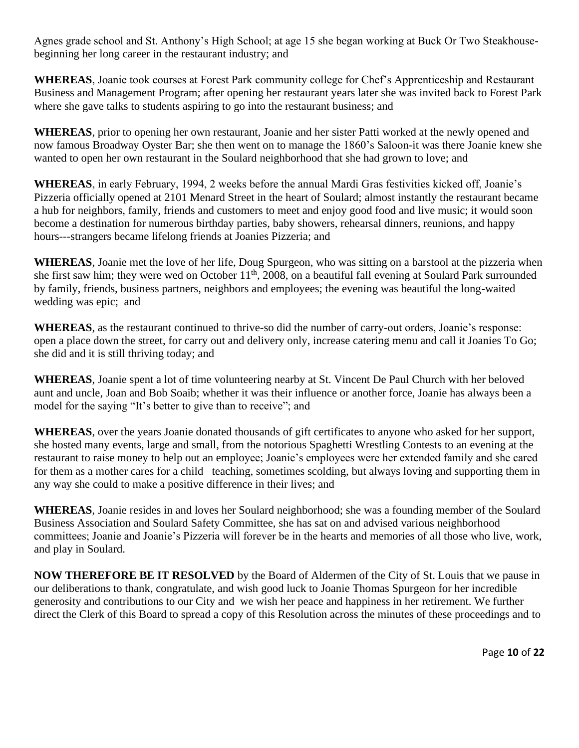Agnes grade school and St. Anthony's High School; at age 15 she began working at Buck Or Two Steakhousebeginning her long career in the restaurant industry; and

**WHEREAS**, Joanie took courses at Forest Park community college for Chef's Apprenticeship and Restaurant Business and Management Program; after opening her restaurant years later she was invited back to Forest Park where she gave talks to students aspiring to go into the restaurant business; and

**WHEREAS**, prior to opening her own restaurant, Joanie and her sister Patti worked at the newly opened and now famous Broadway Oyster Bar; she then went on to manage the 1860's Saloon-it was there Joanie knew she wanted to open her own restaurant in the Soulard neighborhood that she had grown to love; and

**WHEREAS**, in early February, 1994, 2 weeks before the annual Mardi Gras festivities kicked off, Joanie's Pizzeria officially opened at 2101 Menard Street in the heart of Soulard; almost instantly the restaurant became a hub for neighbors, family, friends and customers to meet and enjoy good food and live music; it would soon become a destination for numerous birthday parties, baby showers, rehearsal dinners, reunions, and happy hours---strangers became lifelong friends at Joanies Pizzeria; and

**WHEREAS**, Joanie met the love of her life, Doug Spurgeon, who was sitting on a barstool at the pizzeria when she first saw him; they were wed on October 11<sup>th</sup>, 2008, on a beautiful fall evening at Soulard Park surrounded by family, friends, business partners, neighbors and employees; the evening was beautiful the long-waited wedding was epic; and

**WHEREAS**, as the restaurant continued to thrive-so did the number of carry-out orders, Joanie's response: open a place down the street, for carry out and delivery only, increase catering menu and call it Joanies To Go; she did and it is still thriving today; and

**WHEREAS**, Joanie spent a lot of time volunteering nearby at St. Vincent De Paul Church with her beloved aunt and uncle, Joan and Bob Soaib; whether it was their influence or another force, Joanie has always been a model for the saying "It's better to give than to receive"; and

**WHEREAS**, over the years Joanie donated thousands of gift certificates to anyone who asked for her support, she hosted many events, large and small, from the notorious Spaghetti Wrestling Contests to an evening at the restaurant to raise money to help out an employee; Joanie's employees were her extended family and she cared for them as a mother cares for a child –teaching, sometimes scolding, but always loving and supporting them in any way she could to make a positive difference in their lives; and

**WHEREAS**, Joanie resides in and loves her Soulard neighborhood; she was a founding member of the Soulard Business Association and Soulard Safety Committee, she has sat on and advised various neighborhood committees; Joanie and Joanie's Pizzeria will forever be in the hearts and memories of all those who live, work, and play in Soulard.

**NOW THEREFORE BE IT RESOLVED** by the Board of Aldermen of the City of St. Louis that we pause in our deliberations to thank, congratulate, and wish good luck to Joanie Thomas Spurgeon for her incredible generosity and contributions to our City and we wish her peace and happiness in her retirement. We further direct the Clerk of this Board to spread a copy of this Resolution across the minutes of these proceedings and to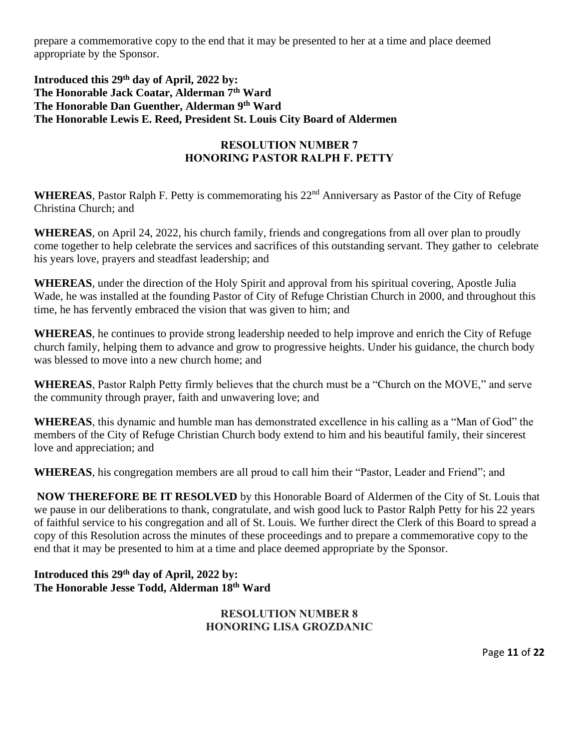prepare a commemorative copy to the end that it may be presented to her at a time and place deemed appropriate by the Sponsor.

### **Introduced this 29th day of April, 2022 by: The Honorable Jack Coatar, Alderman 7th Ward The Honorable Dan Guenther, Alderman 9th Ward The Honorable Lewis E. Reed, President St. Louis City Board of Aldermen**

# **RESOLUTION NUMBER 7 HONORING PASTOR RALPH F. PETTY**

WHEREAS, Pastor Ralph F. Petty is commemorating his 22<sup>nd</sup> Anniversary as Pastor of the City of Refuge Christina Church; and

**WHEREAS**, on April 24, 2022, his church family, friends and congregations from all over plan to proudly come together to help celebrate the services and sacrifices of this outstanding servant. They gather to celebrate his years love, prayers and steadfast leadership; and

**WHEREAS**, under the direction of the Holy Spirit and approval from his spiritual covering, Apostle Julia Wade, he was installed at the founding Pastor of City of Refuge Christian Church in 2000, and throughout this time, he has fervently embraced the vision that was given to him; and

**WHEREAS**, he continues to provide strong leadership needed to help improve and enrich the City of Refuge church family, helping them to advance and grow to progressive heights. Under his guidance, the church body was blessed to move into a new church home; and

**WHEREAS**, Pastor Ralph Petty firmly believes that the church must be a "Church on the MOVE," and serve the community through prayer, faith and unwavering love; and

**WHEREAS**, this dynamic and humble man has demonstrated excellence in his calling as a "Man of God" the members of the City of Refuge Christian Church body extend to him and his beautiful family, their sincerest love and appreciation; and

**WHEREAS**, his congregation members are all proud to call him their "Pastor, Leader and Friend"; and

**NOW THEREFORE BE IT RESOLVED** by this Honorable Board of Aldermen of the City of St. Louis that we pause in our deliberations to thank, congratulate, and wish good luck to Pastor Ralph Petty for his 22 years of faithful service to his congregation and all of St. Louis. We further direct the Clerk of this Board to spread a copy of this Resolution across the minutes of these proceedings and to prepare a commemorative copy to the end that it may be presented to him at a time and place deemed appropriate by the Sponsor.

# **Introduced this 29th day of April, 2022 by: The Honorable Jesse Todd, Alderman 18th Ward**

### **RESOLUTION NUMBER 8 HONORING LISA GROZDANIC**

Page **11** of **22**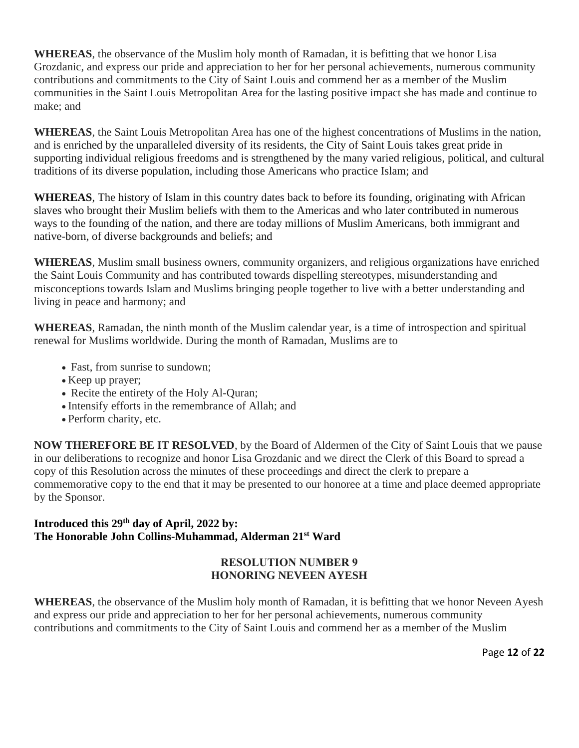**WHEREAS**, the observance of the Muslim holy month of Ramadan, it is befitting that we honor Lisa Grozdanic, and express our pride and appreciation to her for her personal achievements, numerous community contributions and commitments to the City of Saint Louis and commend her as a member of the Muslim communities in the Saint Louis Metropolitan Area for the lasting positive impact she has made and continue to make; and

**WHEREAS**, the Saint Louis Metropolitan Area has one of the highest concentrations of Muslims in the nation, and is enriched by the unparalleled diversity of its residents, the City of Saint Louis takes great pride in supporting individual religious freedoms and is strengthened by the many varied religious, political, and cultural traditions of its diverse population, including those Americans who practice Islam; and

**WHEREAS**, The history of Islam in this country dates back to before its founding, originating with African slaves who brought their Muslim beliefs with them to the Americas and who later contributed in numerous ways to the founding of the nation, and there are today millions of Muslim Americans, both immigrant and native-born, of diverse backgrounds and beliefs; and

**WHEREAS**, Muslim small business owners, community organizers, and religious organizations have enriched the Saint Louis Community and has contributed towards dispelling stereotypes, misunderstanding and misconceptions towards Islam and Muslims bringing people together to live with a better understanding and living in peace and harmony; and

**WHEREAS**, Ramadan, the ninth month of the Muslim calendar year, is a time of introspection and spiritual renewal for Muslims worldwide. During the month of Ramadan, Muslims are to

- Fast, from sunrise to sundown;
- Keep up prayer;
- Recite the entirety of the Holy Al-Quran;
- Intensify efforts in the remembrance of Allah; and
- Perform charity, etc.

**NOW THEREFORE BE IT RESOLVED**, by the Board of Aldermen of the City of Saint Louis that we pause in our deliberations to recognize and honor Lisa Grozdanic and we direct the Clerk of this Board to spread a copy of this Resolution across the minutes of these proceedings and direct the clerk to prepare a commemorative copy to the end that it may be presented to our honoree at a time and place deemed appropriate by the Sponsor.

# **Introduced this 29th day of April, 2022 by: The Honorable John Collins-Muhammad, Alderman 21st Ward**

# **RESOLUTION NUMBER 9 HONORING NEVEEN AYESH**

**WHEREAS**, the observance of the Muslim holy month of Ramadan, it is befitting that we honor Neveen Ayesh and express our pride and appreciation to her for her personal achievements, numerous community contributions and commitments to the City of Saint Louis and commend her as a member of the Muslim

Page **12** of **22**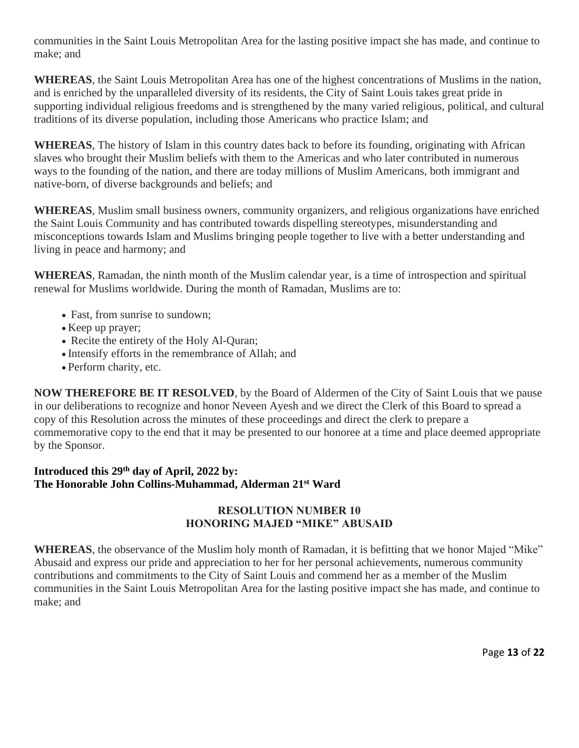communities in the Saint Louis Metropolitan Area for the lasting positive impact she has made, and continue to make; and

**WHEREAS**, the Saint Louis Metropolitan Area has one of the highest concentrations of Muslims in the nation, and is enriched by the unparalleled diversity of its residents, the City of Saint Louis takes great pride in supporting individual religious freedoms and is strengthened by the many varied religious, political, and cultural traditions of its diverse population, including those Americans who practice Islam; and

**WHEREAS**, The history of Islam in this country dates back to before its founding, originating with African slaves who brought their Muslim beliefs with them to the Americas and who later contributed in numerous ways to the founding of the nation, and there are today millions of Muslim Americans, both immigrant and native-born, of diverse backgrounds and beliefs; and

**WHEREAS**, Muslim small business owners, community organizers, and religious organizations have enriched the Saint Louis Community and has contributed towards dispelling stereotypes, misunderstanding and misconceptions towards Islam and Muslims bringing people together to live with a better understanding and living in peace and harmony; and

**WHEREAS**, Ramadan, the ninth month of the Muslim calendar year, is a time of introspection and spiritual renewal for Muslims worldwide. During the month of Ramadan, Muslims are to:

- Fast, from sunrise to sundown;
- Keep up prayer;
- Recite the entirety of the Holy Al-Quran;
- Intensify efforts in the remembrance of Allah; and
- Perform charity, etc.

**NOW THEREFORE BE IT RESOLVED**, by the Board of Aldermen of the City of Saint Louis that we pause in our deliberations to recognize and honor Neveen Ayesh and we direct the Clerk of this Board to spread a copy of this Resolution across the minutes of these proceedings and direct the clerk to prepare a commemorative copy to the end that it may be presented to our honoree at a time and place deemed appropriate by the Sponsor.

# **Introduced this 29th day of April, 2022 by: The Honorable John Collins-Muhammad, Alderman 21st Ward**

# **RESOLUTION NUMBER 10 HONORING MAJED "MIKE" ABUSAID**

**WHEREAS**, the observance of the Muslim holy month of Ramadan, it is befitting that we honor Majed "Mike" Abusaid and express our pride and appreciation to her for her personal achievements, numerous community contributions and commitments to the City of Saint Louis and commend her as a member of the Muslim communities in the Saint Louis Metropolitan Area for the lasting positive impact she has made, and continue to make; and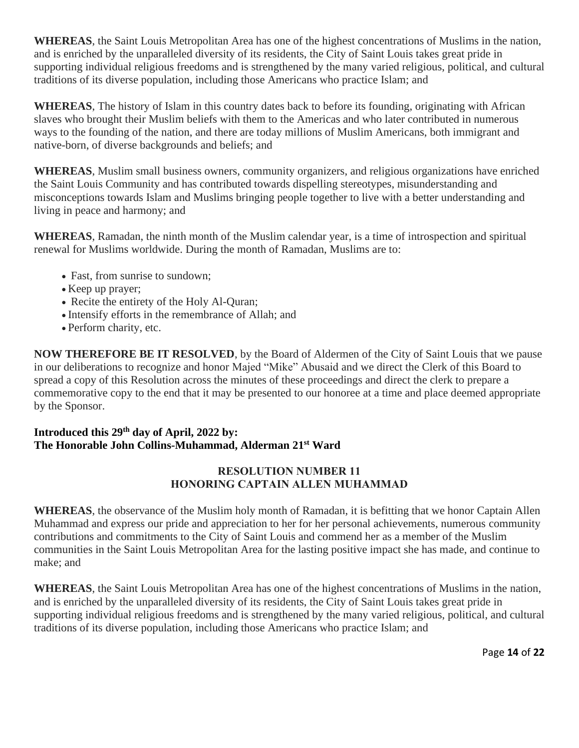**WHEREAS**, the Saint Louis Metropolitan Area has one of the highest concentrations of Muslims in the nation, and is enriched by the unparalleled diversity of its residents, the City of Saint Louis takes great pride in supporting individual religious freedoms and is strengthened by the many varied religious, political, and cultural traditions of its diverse population, including those Americans who practice Islam; and

**WHEREAS**, The history of Islam in this country dates back to before its founding, originating with African slaves who brought their Muslim beliefs with them to the Americas and who later contributed in numerous ways to the founding of the nation, and there are today millions of Muslim Americans, both immigrant and native-born, of diverse backgrounds and beliefs; and

**WHEREAS**, Muslim small business owners, community organizers, and religious organizations have enriched the Saint Louis Community and has contributed towards dispelling stereotypes, misunderstanding and misconceptions towards Islam and Muslims bringing people together to live with a better understanding and living in peace and harmony; and

**WHEREAS**, Ramadan, the ninth month of the Muslim calendar year, is a time of introspection and spiritual renewal for Muslims worldwide. During the month of Ramadan, Muslims are to:

- Fast, from sunrise to sundown;
- Keep up prayer;
- Recite the entirety of the Holy Al-Quran;
- Intensify efforts in the remembrance of Allah; and
- Perform charity, etc.

**NOW THEREFORE BE IT RESOLVED**, by the Board of Aldermen of the City of Saint Louis that we pause in our deliberations to recognize and honor Majed "Mike" Abusaid and we direct the Clerk of this Board to spread a copy of this Resolution across the minutes of these proceedings and direct the clerk to prepare a commemorative copy to the end that it may be presented to our honoree at a time and place deemed appropriate by the Sponsor.

# **Introduced this 29th day of April, 2022 by: The Honorable John Collins-Muhammad, Alderman 21st Ward**

# **RESOLUTION NUMBER 11 HONORING CAPTAIN ALLEN MUHAMMAD**

**WHEREAS**, the observance of the Muslim holy month of Ramadan, it is befitting that we honor Captain Allen Muhammad and express our pride and appreciation to her for her personal achievements, numerous community contributions and commitments to the City of Saint Louis and commend her as a member of the Muslim communities in the Saint Louis Metropolitan Area for the lasting positive impact she has made, and continue to make; and

**WHEREAS**, the Saint Louis Metropolitan Area has one of the highest concentrations of Muslims in the nation, and is enriched by the unparalleled diversity of its residents, the City of Saint Louis takes great pride in supporting individual religious freedoms and is strengthened by the many varied religious, political, and cultural traditions of its diverse population, including those Americans who practice Islam; and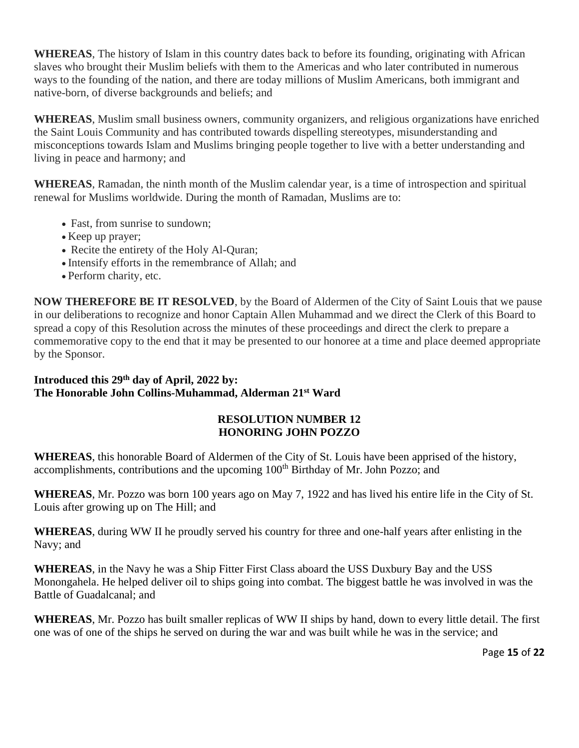**WHEREAS**, The history of Islam in this country dates back to before its founding, originating with African slaves who brought their Muslim beliefs with them to the Americas and who later contributed in numerous ways to the founding of the nation, and there are today millions of Muslim Americans, both immigrant and native-born, of diverse backgrounds and beliefs; and

**WHEREAS**, Muslim small business owners, community organizers, and religious organizations have enriched the Saint Louis Community and has contributed towards dispelling stereotypes, misunderstanding and misconceptions towards Islam and Muslims bringing people together to live with a better understanding and living in peace and harmony; and

**WHEREAS**, Ramadan, the ninth month of the Muslim calendar year, is a time of introspection and spiritual renewal for Muslims worldwide. During the month of Ramadan, Muslims are to:

- Fast, from sunrise to sundown;
- Keep up prayer;
- Recite the entirety of the Holy Al-Quran;
- Intensify efforts in the remembrance of Allah; and
- Perform charity, etc.

**NOW THEREFORE BE IT RESOLVED**, by the Board of Aldermen of the City of Saint Louis that we pause in our deliberations to recognize and honor Captain Allen Muhammad and we direct the Clerk of this Board to spread a copy of this Resolution across the minutes of these proceedings and direct the clerk to prepare a commemorative copy to the end that it may be presented to our honoree at a time and place deemed appropriate by the Sponsor.

# **Introduced this 29th day of April, 2022 by: The Honorable John Collins-Muhammad, Alderman 21st Ward**

# **RESOLUTION NUMBER 12 HONORING JOHN POZZO**

**WHEREAS**, this honorable Board of Aldermen of the City of St. Louis have been apprised of the history, accomplishments, contributions and the upcoming 100<sup>th</sup> Birthday of Mr. John Pozzo; and

**WHEREAS**, Mr. Pozzo was born 100 years ago on May 7, 1922 and has lived his entire life in the City of St. Louis after growing up on The Hill; and

**WHEREAS**, during WW II he proudly served his country for three and one-half years after enlisting in the Navy; and

**WHEREAS**, in the Navy he was a Ship Fitter First Class aboard the USS Duxbury Bay and the USS Monongahela. He helped deliver oil to ships going into combat. The biggest battle he was involved in was the Battle of Guadalcanal; and

**WHEREAS**, Mr. Pozzo has built smaller replicas of WW II ships by hand, down to every little detail. The first one was of one of the ships he served on during the war and was built while he was in the service; and

Page **15** of **22**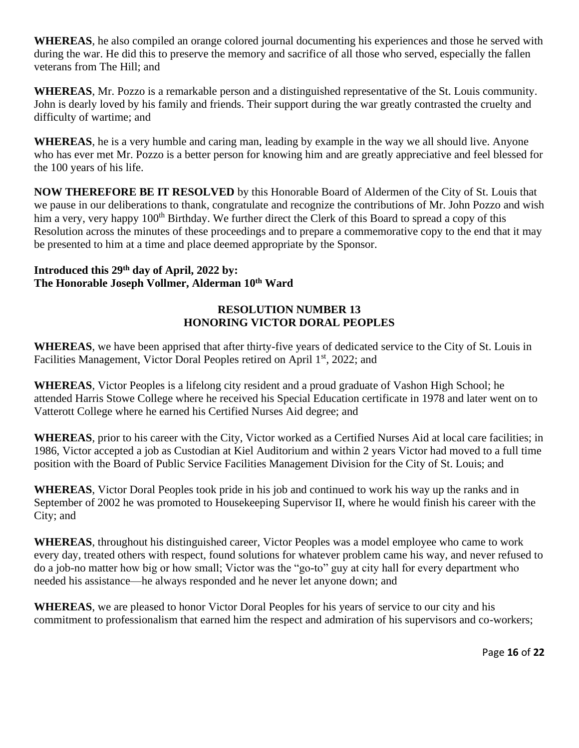**WHEREAS**, he also compiled an orange colored journal documenting his experiences and those he served with during the war. He did this to preserve the memory and sacrifice of all those who served, especially the fallen veterans from The Hill; and

**WHEREAS**, Mr. Pozzo is a remarkable person and a distinguished representative of the St. Louis community. John is dearly loved by his family and friends. Their support during the war greatly contrasted the cruelty and difficulty of wartime; and

**WHEREAS**, he is a very humble and caring man, leading by example in the way we all should live. Anyone who has ever met Mr. Pozzo is a better person for knowing him and are greatly appreciative and feel blessed for the 100 years of his life.

**NOW THEREFORE BE IT RESOLVED** by this Honorable Board of Aldermen of the City of St. Louis that we pause in our deliberations to thank, congratulate and recognize the contributions of Mr. John Pozzo and wish him a very, very happy 100<sup>th</sup> Birthday. We further direct the Clerk of this Board to spread a copy of this Resolution across the minutes of these proceedings and to prepare a commemorative copy to the end that it may be presented to him at a time and place deemed appropriate by the Sponsor.

# **Introduced this 29th day of April, 2022 by: The Honorable Joseph Vollmer, Alderman 10th Ward**

# **RESOLUTION NUMBER 13 HONORING VICTOR DORAL PEOPLES**

**WHEREAS**, we have been apprised that after thirty-five years of dedicated service to the City of St. Louis in Facilities Management, Victor Doral Peoples retired on April 1<sup>st</sup>, 2022; and

**WHEREAS**, Victor Peoples is a lifelong city resident and a proud graduate of Vashon High School; he attended Harris Stowe College where he received his Special Education certificate in 1978 and later went on to Vatterott College where he earned his Certified Nurses Aid degree; and

**WHEREAS**, prior to his career with the City, Victor worked as a Certified Nurses Aid at local care facilities; in 1986, Victor accepted a job as Custodian at Kiel Auditorium and within 2 years Victor had moved to a full time position with the Board of Public Service Facilities Management Division for the City of St. Louis; and

**WHEREAS**, Victor Doral Peoples took pride in his job and continued to work his way up the ranks and in September of 2002 he was promoted to Housekeeping Supervisor II, where he would finish his career with the City; and

**WHEREAS**, throughout his distinguished career, Victor Peoples was a model employee who came to work every day, treated others with respect, found solutions for whatever problem came his way, and never refused to do a job-no matter how big or how small; Victor was the "go-to" guy at city hall for every department who needed his assistance—he always responded and he never let anyone down; and

**WHEREAS**, we are pleased to honor Victor Doral Peoples for his years of service to our city and his commitment to professionalism that earned him the respect and admiration of his supervisors and co-workers;

Page **16** of **22**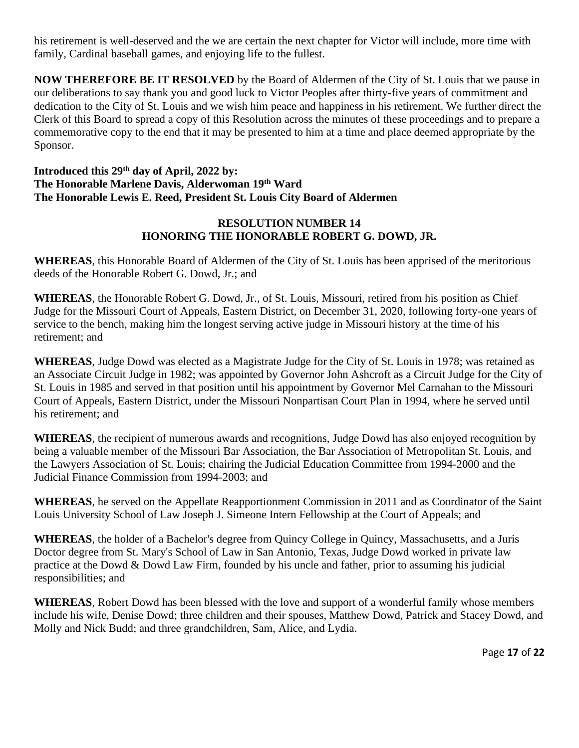his retirement is well-deserved and the we are certain the next chapter for Victor will include, more time with family, Cardinal baseball games, and enjoying life to the fullest.

**NOW THEREFORE BE IT RESOLVED** by the Board of Aldermen of the City of St. Louis that we pause in our deliberations to say thank you and good luck to Victor Peoples after thirty-five years of commitment and dedication to the City of St. Louis and we wish him peace and happiness in his retirement. We further direct the Clerk of this Board to spread a copy of this Resolution across the minutes of these proceedings and to prepare a commemorative copy to the end that it may be presented to him at a time and place deemed appropriate by the Sponsor.

# **Introduced this 29th day of April, 2022 by: The Honorable Marlene Davis, Alderwoman 19th Ward The Honorable Lewis E. Reed, President St. Louis City Board of Aldermen**

# **RESOLUTION NUMBER 14 HONORING THE HONORABLE ROBERT G. DOWD, JR.**

**WHEREAS**, this Honorable Board of Aldermen of the City of St. Louis has been apprised of the meritorious deeds of the Honorable Robert G. Dowd, Jr.; and

**WHEREAS**, the Honorable Robert G. Dowd, Jr., of St. Louis, Missouri, retired from his position as Chief Judge for the Missouri Court of Appeals, Eastern District, on December 31, 2020, following forty-one years of service to the bench, making him the longest serving active judge in Missouri history at the time of his retirement; and

**WHEREAS**, Judge Dowd was elected as a Magistrate Judge for the City of St. Louis in 1978; was retained as an Associate Circuit Judge in 1982; was appointed by Governor John Ashcroft as a Circuit Judge for the City of St. Louis in 1985 and served in that position until his appointment by Governor Mel Carnahan to the Missouri Court of Appeals, Eastern District, under the Missouri Nonpartisan Court Plan in 1994, where he served until his retirement; and

**WHEREAS**, the recipient of numerous awards and recognitions, Judge Dowd has also enjoyed recognition by being a valuable member of the Missouri Bar Association, the Bar Association of Metropolitan St. Louis, and the Lawyers Association of St. Louis; chairing the Judicial Education Committee from 1994-2000 and the Judicial Finance Commission from 1994-2003; and

**WHEREAS**, he served on the Appellate Reapportionment Commission in 2011 and as Coordinator of the Saint Louis University School of Law Joseph J. Simeone Intern Fellowship at the Court of Appeals; and

**WHEREAS**, the holder of a Bachelor's degree from Quincy College in Quincy, Massachusetts, and a Juris Doctor degree from St. Mary's School of Law in San Antonio, Texas, Judge Dowd worked in private law practice at the Dowd & Dowd Law Firm, founded by his uncle and father, prior to assuming his judicial responsibilities; and

**WHEREAS**, Robert Dowd has been blessed with the love and support of a wonderful family whose members include his wife, Denise Dowd; three children and their spouses, Matthew Dowd, Patrick and Stacey Dowd, and Molly and Nick Budd; and three grandchildren, Sam, Alice, and Lydia.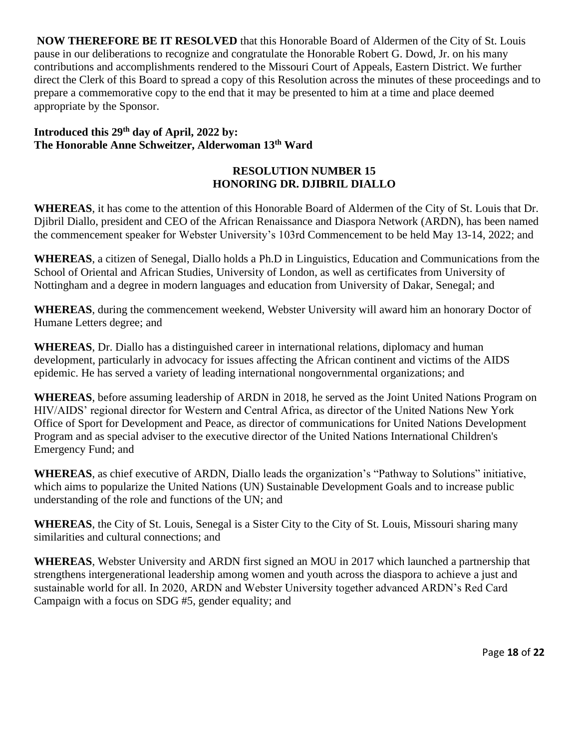**NOW THEREFORE BE IT RESOLVED** that this Honorable Board of Aldermen of the City of St. Louis pause in our deliberations to recognize and congratulate the Honorable Robert G. Dowd, Jr. on his many contributions and accomplishments rendered to the Missouri Court of Appeals, Eastern District. We further direct the Clerk of this Board to spread a copy of this Resolution across the minutes of these proceedings and to prepare a commemorative copy to the end that it may be presented to him at a time and place deemed appropriate by the Sponsor.

# **Introduced this 29th day of April, 2022 by: The Honorable Anne Schweitzer, Alderwoman 13 th Ward**

# **RESOLUTION NUMBER 15 HONORING DR. DJIBRIL DIALLO**

**WHEREAS**, it has come to the attention of this Honorable Board of Aldermen of the City of St. Louis that Dr. Djibril Diallo, president and CEO of the African Renaissance and Diaspora Network (ARDN), has been named the commencement speaker for Webster University's 103rd Commencement to be held May 13-14, 2022; and

**WHEREAS**, a citizen of Senegal, Diallo holds a Ph.D in Linguistics, Education and Communications from the School of Oriental and African Studies, University of London, as well as certificates from University of Nottingham and a degree in modern languages and education from University of Dakar, Senegal; and

**WHEREAS**, during the commencement weekend, Webster University will award him an honorary Doctor of Humane Letters degree; and

**WHEREAS**, Dr. Diallo has a distinguished career in international relations, diplomacy and human development, particularly in advocacy for issues affecting the African continent and victims of the AIDS epidemic. He has served a variety of leading international nongovernmental organizations; and

**WHEREAS**, before assuming leadership of ARDN in 2018, he served as the Joint United Nations Program on HIV/AIDS' regional director for Western and Central Africa, as director of the United Nations New York Office of Sport for Development and Peace, as director of communications for United Nations Development Program and as special adviser to the executive director of the United Nations International Children's Emergency Fund; and

**WHEREAS**, as chief executive of ARDN, Diallo leads the organization's "Pathway to Solutions" initiative, which aims to popularize the United Nations (UN) Sustainable Development Goals and to increase public understanding of the role and functions of the UN; and

**WHEREAS**, the City of St. Louis, Senegal is a Sister City to the City of St. Louis, Missouri sharing many similarities and cultural connections; and

**WHEREAS**, Webster University and ARDN first signed an MOU in 2017 which launched a partnership that strengthens intergenerational leadership among women and youth across the diaspora to achieve a just and sustainable world for all. In 2020, ARDN and Webster University together advanced ARDN's Red Card Campaign with a focus on SDG #5, gender equality; and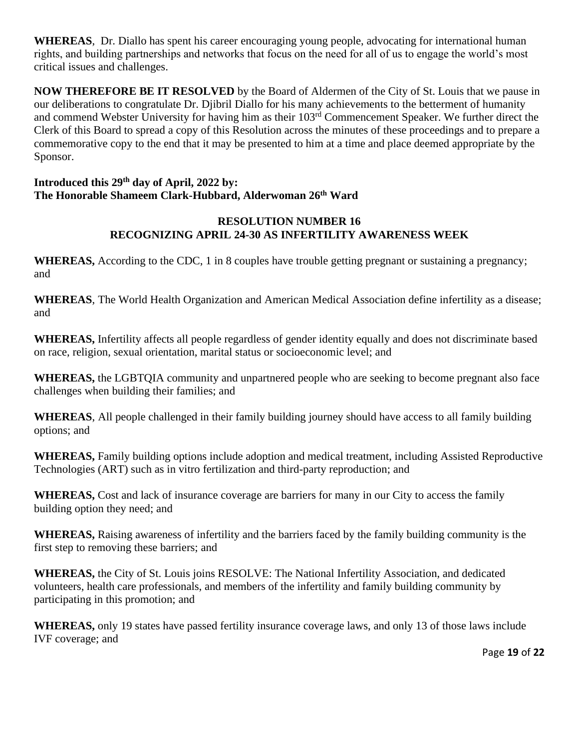**WHEREAS**, Dr. Diallo has spent his career encouraging young people, advocating for international human rights, and building partnerships and networks that focus on the need for all of us to engage the world's most critical issues and challenges.

**NOW THEREFORE BE IT RESOLVED** by the Board of Aldermen of the City of St. Louis that we pause in our deliberations to congratulate Dr. Djibril Diallo for his many achievements to the betterment of humanity and commend Webster University for having him as their 103rd Commencement Speaker. We further direct the Clerk of this Board to spread a copy of this Resolution across the minutes of these proceedings and to prepare a commemorative copy to the end that it may be presented to him at a time and place deemed appropriate by the Sponsor.

### **Introduced this 29th day of April, 2022 by: The Honorable Shameem Clark-Hubbard, Alderwoman 26th Ward**

# **RESOLUTION NUMBER 16 RECOGNIZING APRIL 24-30 AS INFERTILITY AWARENESS WEEK**

**WHEREAS,** According to the CDC, 1 in 8 couples have trouble getting pregnant or sustaining a pregnancy; and

**WHEREAS**, The World Health Organization and American Medical Association define infertility as a disease; and

**WHEREAS,** Infertility affects all people regardless of gender identity equally and does not discriminate based on race, religion, sexual orientation, marital status or socioeconomic level; and

**WHEREAS,** the LGBTQIA community and unpartnered people who are seeking to become pregnant also face challenges when building their families; and

**WHEREAS**, All people challenged in their family building journey should have access to all family building options; and

**WHEREAS,** Family building options include adoption and medical treatment, including Assisted Reproductive Technologies (ART) such as in vitro fertilization and third-party reproduction; and

**WHEREAS,** Cost and lack of insurance coverage are barriers for many in our City to access the family building option they need; and

**WHEREAS,** Raising awareness of infertility and the barriers faced by the family building community is the first step to removing these barriers; and

**WHEREAS,** the City of St. Louis joins RESOLVE: The National Infertility Association, and dedicated volunteers, health care professionals, and members of the infertility and family building community by participating in this promotion; and

**WHEREAS,** only 19 states have passed fertility insurance coverage laws, and only 13 of those laws include IVF coverage; and

Page **19** of **22**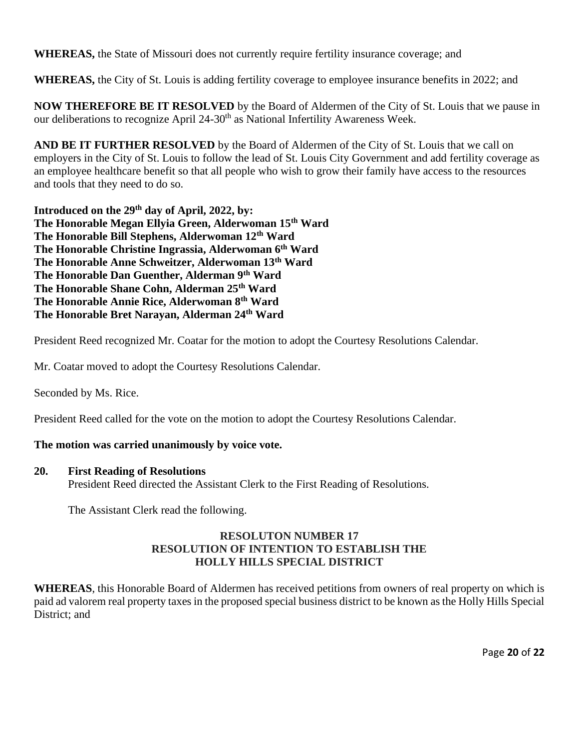**WHEREAS,** the State of Missouri does not currently require fertility insurance coverage; and

**WHEREAS,** the City of St. Louis is adding fertility coverage to employee insurance benefits in 2022; and

**NOW THEREFORE BE IT RESOLVED** by the Board of Aldermen of the City of St. Louis that we pause in our deliberations to recognize April 24-30<sup>th</sup> as National Infertility Awareness Week.

**AND BE IT FURTHER RESOLVED** by the Board of Aldermen of the City of St. Louis that we call on employers in the City of St. Louis to follow the lead of St. Louis City Government and add fertility coverage as an employee healthcare benefit so that all people who wish to grow their family have access to the resources and tools that they need to do so.

**Introduced on the 29th day of April, 2022, by: The Honorable Megan Ellyia Green, Alderwoman 15th Ward The Honorable Bill Stephens, Alderwoman 12th Ward The Honorable Christine Ingrassia, Alderwoman 6th Ward The Honorable Anne Schweitzer, Alderwoman 13th Ward The Honorable Dan Guenther, Alderman 9th Ward The Honorable Shane Cohn, Alderman 25th Ward The Honorable Annie Rice, Alderwoman 8th Ward The Honorable Bret Narayan, Alderman 24th Ward** 

President Reed recognized Mr. Coatar for the motion to adopt the Courtesy Resolutions Calendar.

Mr. Coatar moved to adopt the Courtesy Resolutions Calendar.

Seconded by Ms. Rice.

President Reed called for the vote on the motion to adopt the Courtesy Resolutions Calendar.

#### **The motion was carried unanimously by voice vote.**

#### **20. First Reading of Resolutions**

President Reed directed the Assistant Clerk to the First Reading of Resolutions.

The Assistant Clerk read the following.

### **RESOLUTON NUMBER 17 RESOLUTION OF INTENTION TO ESTABLISH THE HOLLY HILLS SPECIAL DISTRICT**

**WHEREAS**, this Honorable Board of Aldermen has received petitions from owners of real property on which is paid ad valorem real property taxes in the proposed special business district to be known as the Holly Hills Special District; and

Page **20** of **22**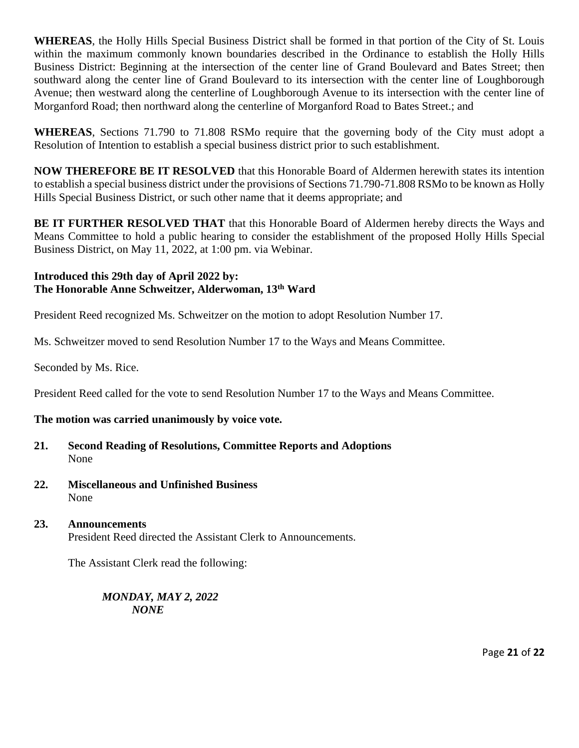**WHEREAS**, the Holly Hills Special Business District shall be formed in that portion of the City of St. Louis within the maximum commonly known boundaries described in the Ordinance to establish the Holly Hills Business District: Beginning at the intersection of the center line of Grand Boulevard and Bates Street; then southward along the center line of Grand Boulevard to its intersection with the center line of Loughborough Avenue; then westward along the centerline of Loughborough Avenue to its intersection with the center line of Morganford Road; then northward along the centerline of Morganford Road to Bates Street.; and

**WHEREAS**, Sections 71.790 to 71.808 RSMo require that the governing body of the City must adopt a Resolution of Intention to establish a special business district prior to such establishment.

**NOW THEREFORE BE IT RESOLVED** that this Honorable Board of Aldermen herewith states its intention to establish a special business district under the provisions of Sections 71.790-71.808 RSMo to be known as Holly Hills Special Business District, or such other name that it deems appropriate; and

**BE IT FURTHER RESOLVED THAT** that this Honorable Board of Aldermen hereby directs the Ways and Means Committee to hold a public hearing to consider the establishment of the proposed Holly Hills Special Business District, on May 11, 2022, at 1:00 pm. via Webinar.

# **Introduced this 29th day of April 2022 by: The Honorable Anne Schweitzer, Alderwoman, 13th Ward**

President Reed recognized Ms. Schweitzer on the motion to adopt Resolution Number 17.

Ms. Schweitzer moved to send Resolution Number 17 to the Ways and Means Committee.

Seconded by Ms. Rice.

President Reed called for the vote to send Resolution Number 17 to the Ways and Means Committee.

# **The motion was carried unanimously by voice vote.**

- **21. Second Reading of Resolutions, Committee Reports and Adoptions** None
- **22. Miscellaneous and Unfinished Business**  None
- **23. Announcements**  President Reed directed the Assistant Clerk to Announcements.

The Assistant Clerk read the following:

*MONDAY, MAY 2, 2022 NONE*